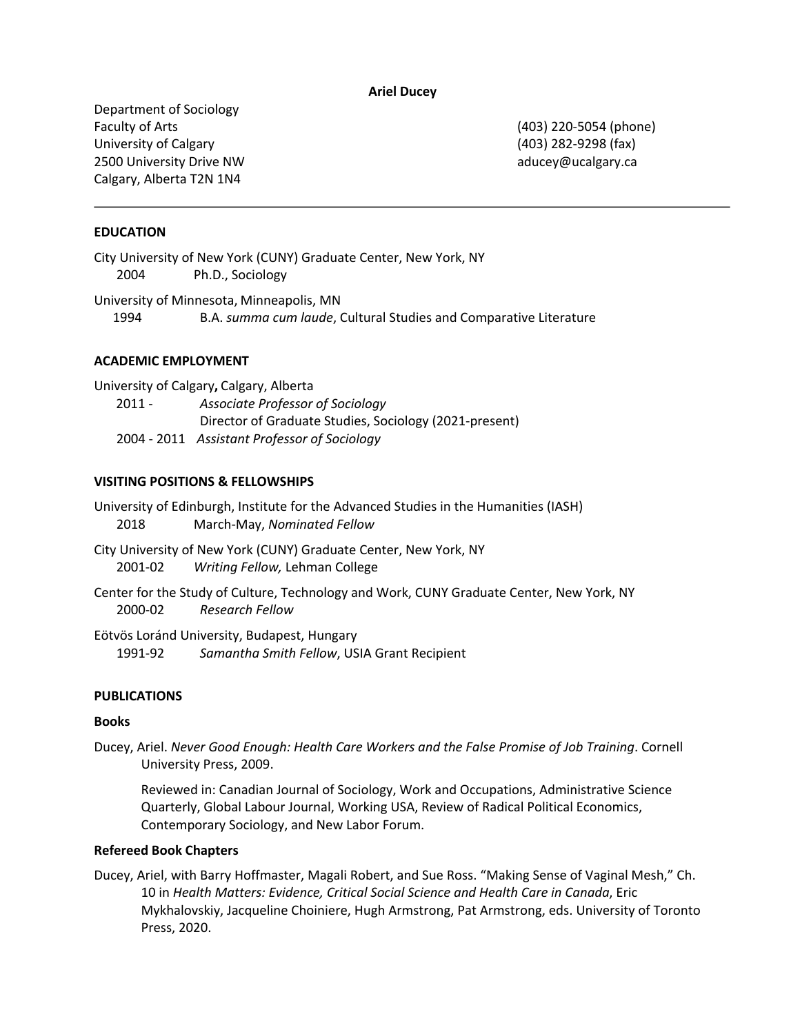#### **Ariel Ducey**

Department of Sociology Faculty of Arts (403) 220-5054 (phone) University of Calgary (403) 282-9298 (fax) 2500 University Drive NW aducey@ucalgary.ca Calgary, Alberta T2N 1N4

## **EDUCATION**

City University of New York (CUNY) Graduate Center, New York, NY 2004 Ph.D., Sociology

University of Minnesota, Minneapolis, MN 1994 B.A. *summa cum laude*, Cultural Studies and Comparative Literature

#### **ACADEMIC EMPLOYMENT**

University of Calgary**,** Calgary, Alberta

2011 - *Associate Professor of Sociology* Director of Graduate Studies, Sociology (2021-present) 2004 - 2011 *Assistant Professor of Sociology*

# **VISITING POSITIONS & FELLOWSHIPS**

University of Edinburgh, Institute for the Advanced Studies in the Humanities (IASH) 2018 March-May, *Nominated Fellow*

- City University of New York (CUNY) Graduate Center, New York, NY 2001-02 *Writing Fellow,* Lehman College
- Center for the Study of Culture, Technology and Work, CUNY Graduate Center, New York, NY 2000-02 *Research Fellow*

Eötvös Loránd University, Budapest, Hungary 1991-92 *Samantha Smith Fellow*, USIA Grant Recipient

#### **PUBLICATIONS**

# **Books**

Ducey, Ariel. *Never Good Enough: Health Care Workers and the False Promise of Job Training*. Cornell University Press, 2009.

Reviewed in: Canadian Journal of Sociology, Work and Occupations, Administrative Science Quarterly, Global Labour Journal, Working USA, Review of Radical Political Economics, Contemporary Sociology, and New Labor Forum.

#### **Refereed Book Chapters**

Ducey, Ariel, with Barry Hoffmaster, Magali Robert, and Sue Ross. "Making Sense of Vaginal Mesh," Ch. 10 in *Health Matters: Evidence, Critical Social Science and Health Care in Canada*, Eric Mykhalovskiy, Jacqueline Choiniere, Hugh Armstrong, Pat Armstrong, eds. University of Toronto Press, 2020.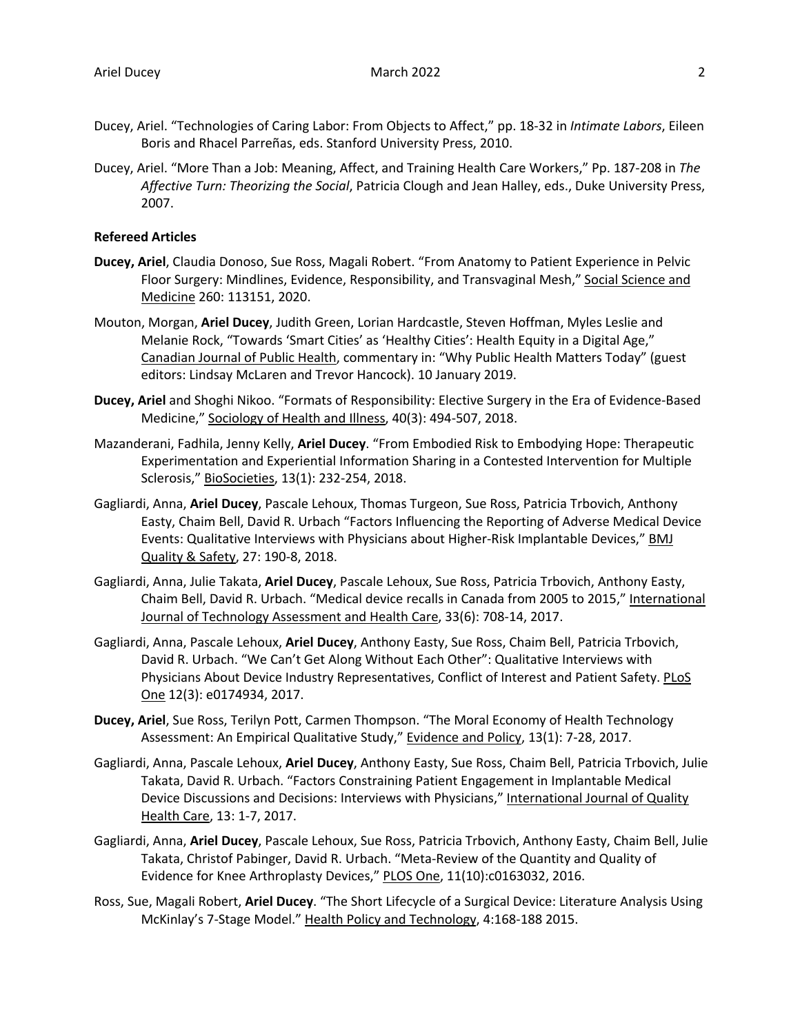- Ducey, Ariel. "Technologies of Caring Labor: From Objects to Affect," pp. 18-32 in *Intimate Labors*, Eileen Boris and Rhacel Parreñas, eds. Stanford University Press, 2010.
- Ducey, Ariel. "More Than a Job: Meaning, Affect, and Training Health Care Workers," Pp. 187-208 in *The Affective Turn: Theorizing the Social*, Patricia Clough and Jean Halley, eds., Duke University Press, 2007.

# **Refereed Articles**

- **Ducey, Ariel**, Claudia Donoso, Sue Ross, Magali Robert. "From Anatomy to Patient Experience in Pelvic Floor Surgery: Mindlines, Evidence, Responsibility, and Transvaginal Mesh," Social Science and Medicine 260: 113151, 2020.
- Mouton, Morgan, **Ariel Ducey**, Judith Green, Lorian Hardcastle, Steven Hoffman, Myles Leslie and Melanie Rock, "Towards 'Smart Cities' as 'Healthy Cities': Health Equity in a Digital Age," Canadian Journal of Public Health, commentary in: "Why Public Health Matters Today" (guest editors: Lindsay McLaren and Trevor Hancock). 10 January 2019.
- **Ducey, Ariel** and Shoghi Nikoo. "Formats of Responsibility: Elective Surgery in the Era of Evidence-Based Medicine," Sociology of Health and Illness, 40(3): 494-507, 2018.
- Mazanderani, Fadhila, Jenny Kelly, **Ariel Ducey**. "From Embodied Risk to Embodying Hope: Therapeutic Experimentation and Experiential Information Sharing in a Contested Intervention for Multiple Sclerosis," BioSocieties, 13(1): 232-254, 2018.
- Gagliardi, Anna, **Ariel Ducey**, Pascale Lehoux, Thomas Turgeon, Sue Ross, Patricia Trbovich, Anthony Easty, Chaim Bell, David R. Urbach "Factors Influencing the Reporting of Adverse Medical Device Events: Qualitative Interviews with Physicians about Higher-Risk Implantable Devices," BMJ Quality & Safety, 27: 190-8, 2018.
- Gagliardi, Anna, Julie Takata, **Ariel Ducey**, Pascale Lehoux, Sue Ross, Patricia Trbovich, Anthony Easty, Chaim Bell, David R. Urbach. "Medical device recalls in Canada from 2005 to 2015," International Journal of Technology Assessment and Health Care, 33(6): 708-14, 2017.
- Gagliardi, Anna, Pascale Lehoux, **Ariel Ducey**, Anthony Easty, Sue Ross, Chaim Bell, Patricia Trbovich, David R. Urbach. "We Can't Get Along Without Each Other": Qualitative Interviews with Physicians About Device Industry Representatives, Conflict of Interest and Patient Safety. PLoS One 12(3): e0174934, 2017.
- **Ducey, Ariel**, Sue Ross, Terilyn Pott, Carmen Thompson. "The Moral Economy of Health Technology Assessment: An Empirical Qualitative Study," Evidence and Policy, 13(1): 7-28, 2017.
- Gagliardi, Anna, Pascale Lehoux, **Ariel Ducey**, Anthony Easty, Sue Ross, Chaim Bell, Patricia Trbovich, Julie Takata, David R. Urbach. "Factors Constraining Patient Engagement in Implantable Medical Device Discussions and Decisions: Interviews with Physicians," International Journal of Quality Health Care, 13: 1-7, 2017.
- Gagliardi, Anna, **Ariel Ducey**, Pascale Lehoux, Sue Ross, Patricia Trbovich, Anthony Easty, Chaim Bell, Julie Takata, Christof Pabinger, David R. Urbach. "Meta-Review of the Quantity and Quality of Evidence for Knee Arthroplasty Devices," PLOS One, 11(10):c0163032, 2016.
- Ross, Sue, Magali Robert, **Ariel Ducey**. "The Short Lifecycle of a Surgical Device: Literature Analysis Using McKinlay's 7-Stage Model." Health Policy and Technology, 4:168-188 2015.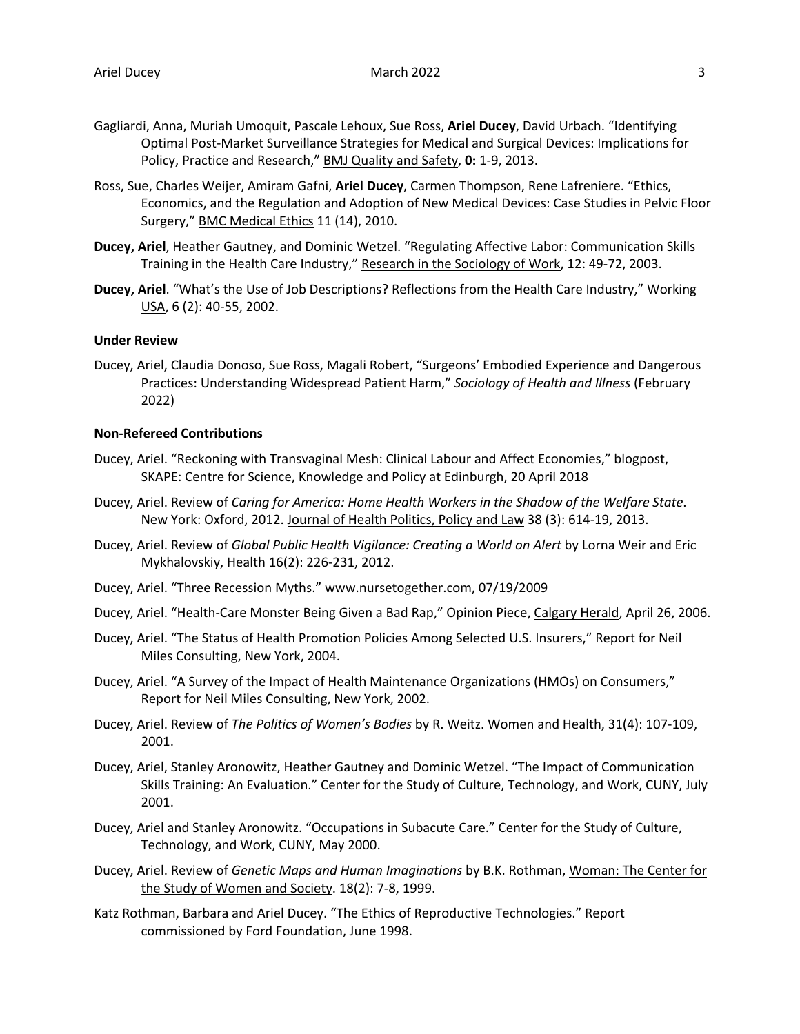- Gagliardi, Anna, Muriah Umoquit, Pascale Lehoux, Sue Ross, **Ariel Ducey**, David Urbach. "Identifying Optimal Post-Market Surveillance Strategies for Medical and Surgical Devices: Implications for Policy, Practice and Research," BMJ Quality and Safety, **0:** 1-9, 2013.
- Ross, Sue, Charles Weijer, Amiram Gafni, **Ariel Ducey**, Carmen Thompson, Rene Lafreniere. "Ethics, Economics, and the Regulation and Adoption of New Medical Devices: Case Studies in Pelvic Floor Surgery," BMC Medical Ethics 11 (14), 2010.
- **Ducey, Ariel**, Heather Gautney, and Dominic Wetzel. "Regulating Affective Labor: Communication Skills Training in the Health Care Industry," Research in the Sociology of Work, 12: 49-72, 2003.
- **Ducey, Ariel**. "What's the Use of Job Descriptions? Reflections from the Health Care Industry," Working USA, 6 (2): 40-55, 2002.

## **Under Review**

Ducey, Ariel, Claudia Donoso, Sue Ross, Magali Robert, "Surgeons' Embodied Experience and Dangerous Practices: Understanding Widespread Patient Harm," *Sociology of Health and Illness* (February 2022)

## **Non-Refereed Contributions**

- Ducey, Ariel. "Reckoning with Transvaginal Mesh: Clinical Labour and Affect Economies," blogpost, SKAPE: Centre for Science, Knowledge and Policy at Edinburgh, 20 April 2018
- Ducey, Ariel. Review of *Caring for America: Home Health Workers in the Shadow of the Welfare State*. New York: Oxford, 2012. Journal of Health Politics, Policy and Law 38 (3): 614-19, 2013.
- Ducey, Ariel. Review of *Global Public Health Vigilance: Creating a World on Alert* by Lorna Weir and Eric Mykhalovskiy, Health 16(2): 226-231, 2012.
- Ducey, Ariel. "Three Recession Myths." www.nursetogether.com, 07/19/2009
- Ducey, Ariel. "Health-Care Monster Being Given a Bad Rap," Opinion Piece, Calgary Herald, April 26, 2006.
- Ducey, Ariel. "The Status of Health Promotion Policies Among Selected U.S. Insurers," Report for Neil Miles Consulting, New York, 2004.
- Ducey, Ariel. "A Survey of the Impact of Health Maintenance Organizations (HMOs) on Consumers," Report for Neil Miles Consulting, New York, 2002.
- Ducey, Ariel. Review of *The Politics of Women's Bodies* by R. Weitz. Women and Health, 31(4): 107-109, 2001.
- Ducey, Ariel, Stanley Aronowitz, Heather Gautney and Dominic Wetzel. "The Impact of Communication Skills Training: An Evaluation." Center for the Study of Culture, Technology, and Work, CUNY, July 2001.
- Ducey, Ariel and Stanley Aronowitz. "Occupations in Subacute Care." Center for the Study of Culture, Technology, and Work, CUNY, May 2000.
- Ducey, Ariel. Review of *Genetic Maps and Human Imaginations* by B.K. Rothman, Woman: The Center for the Study of Women and Society. 18(2): 7-8, 1999.
- Katz Rothman, Barbara and Ariel Ducey. "The Ethics of Reproductive Technologies." Report commissioned by Ford Foundation, June 1998.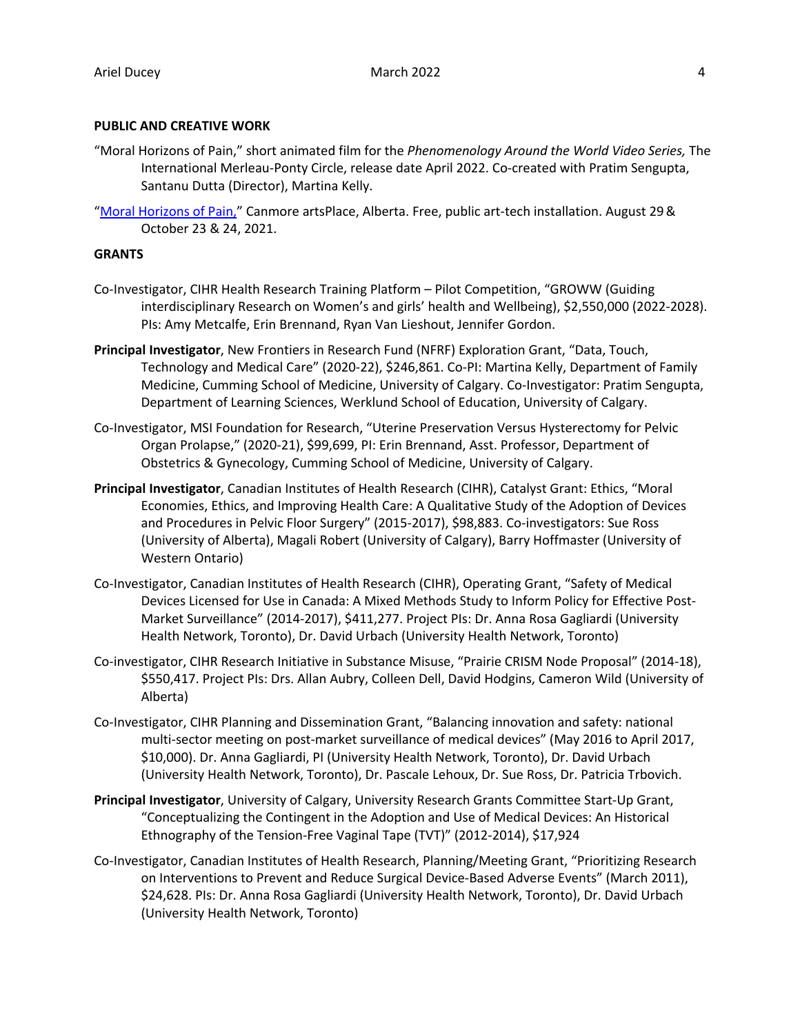# **PUBLIC AND CREATIVE WORK**

- "Moral Horizons of Pain," short animated film for the *Phenomenology Around the World Video Series,* The International Merleau-Ponty Circle, release date April 2022. Co-created with Pratim Sengupta, Santanu Dutta (Director), Martina Kelly.
- "Moral Horizons of Pain," Canmore artsPlace, Alberta. Free, public art-tech installation. August 29& October 23 & 24, 2021.

# **GRANTS**

- Co-Investigator, CIHR Health Research Training Platform Pilot Competition, "GROWW (Guiding interdisciplinary Research on Women's and girls' health and Wellbeing), \$2,550,000 (2022-2028). PIs: Amy Metcalfe, Erin Brennand, Ryan Van Lieshout, Jennifer Gordon.
- **Principal Investigator**, New Frontiers in Research Fund (NFRF) Exploration Grant, "Data, Touch, Technology and Medical Care" (2020-22), \$246,861. Co-PI: Martina Kelly, Department of Family Medicine, Cumming School of Medicine, University of Calgary. Co-Investigator: Pratim Sengupta, Department of Learning Sciences, Werklund School of Education, University of Calgary.
- Co-Investigator, MSI Foundation for Research, "Uterine Preservation Versus Hysterectomy for Pelvic Organ Prolapse," (2020-21), \$99,699, PI: Erin Brennand, Asst. Professor, Department of Obstetrics & Gynecology, Cumming School of Medicine, University of Calgary.
- **Principal Investigator**, Canadian Institutes of Health Research (CIHR), Catalyst Grant: Ethics, "Moral Economies, Ethics, and Improving Health Care: A Qualitative Study of the Adoption of Devices and Procedures in Pelvic Floor Surgery" (2015-2017), \$98,883. Co-investigators: Sue Ross (University of Alberta), Magali Robert (University of Calgary), Barry Hoffmaster (University of Western Ontario)
- Co-Investigator, Canadian Institutes of Health Research (CIHR), Operating Grant, "Safety of Medical Devices Licensed for Use in Canada: A Mixed Methods Study to Inform Policy for Effective Post-Market Surveillance" (2014-2017), \$411,277. Project PIs: Dr. Anna Rosa Gagliardi (University Health Network, Toronto), Dr. David Urbach (University Health Network, Toronto)
- Co-investigator, CIHR Research Initiative in Substance Misuse, "Prairie CRISM Node Proposal" (2014-18), \$550,417. Project PIs: Drs. Allan Aubry, Colleen Dell, David Hodgins, Cameron Wild (University of Alberta)
- Co-Investigator, CIHR Planning and Dissemination Grant, "Balancing innovation and safety: national multi-sector meeting on post-market surveillance of medical devices" (May 2016 to April 2017, \$10,000). Dr. Anna Gagliardi, PI (University Health Network, Toronto), Dr. David Urbach (University Health Network, Toronto), Dr. Pascale Lehoux, Dr. Sue Ross, Dr. Patricia Trbovich.
- **Principal Investigator**, University of Calgary, University Research Grants Committee Start-Up Grant, "Conceptualizing the Contingent in the Adoption and Use of Medical Devices: An Historical Ethnography of the Tension-Free Vaginal Tape (TVT)" (2012-2014), \$17,924
- Co-Investigator, Canadian Institutes of Health Research, Planning/Meeting Grant, "Prioritizing Research on Interventions to Prevent and Reduce Surgical Device-Based Adverse Events" (March 2011), \$24,628. PIs: Dr. Anna Rosa Gagliardi (University Health Network, Toronto), Dr. David Urbach (University Health Network, Toronto)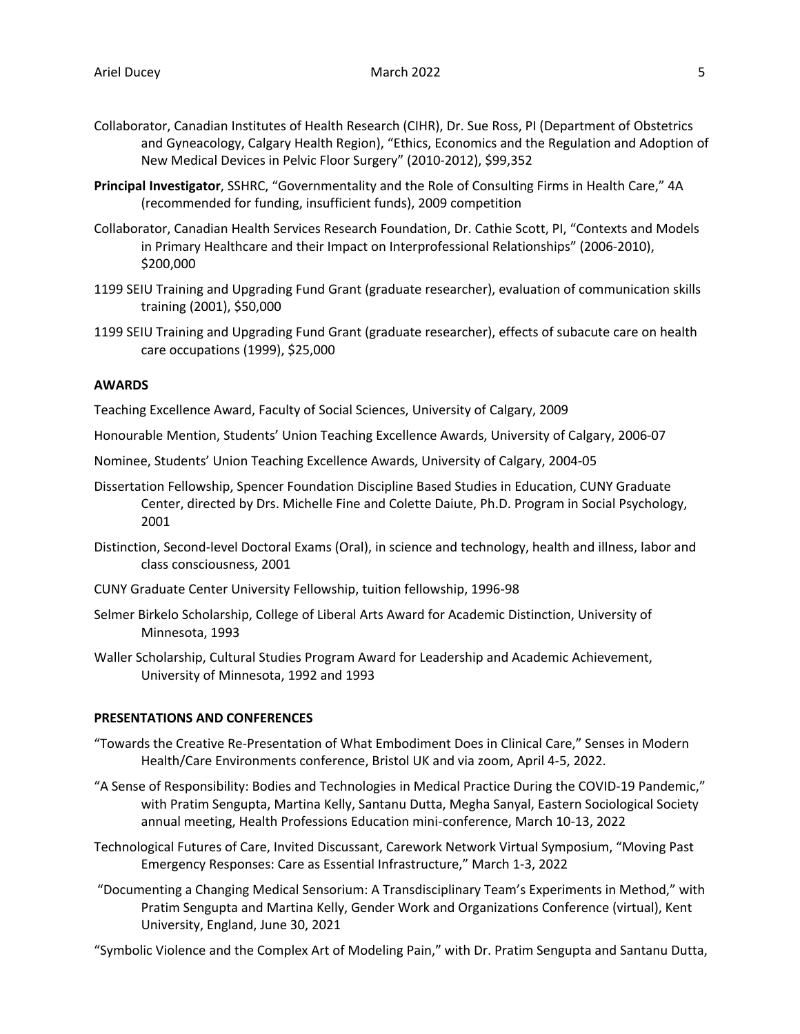- Collaborator, Canadian Institutes of Health Research (CIHR), Dr. Sue Ross, PI (Department of Obstetrics and Gyneacology, Calgary Health Region), "Ethics, Economics and the Regulation and Adoption of New Medical Devices in Pelvic Floor Surgery" (2010-2012), \$99,352
- **Principal Investigator**, SSHRC, "Governmentality and the Role of Consulting Firms in Health Care," 4A (recommended for funding, insufficient funds), 2009 competition
- Collaborator, Canadian Health Services Research Foundation, Dr. Cathie Scott, PI, "Contexts and Models in Primary Healthcare and their Impact on Interprofessional Relationships" (2006-2010), \$200,000
- 1199 SEIU Training and Upgrading Fund Grant (graduate researcher), evaluation of communication skills training (2001), \$50,000
- 1199 SEIU Training and Upgrading Fund Grant (graduate researcher), effects of subacute care on health care occupations (1999), \$25,000

#### **AWARDS**

Teaching Excellence Award, Faculty of Social Sciences, University of Calgary, 2009

- Honourable Mention, Students' Union Teaching Excellence Awards, University of Calgary, 2006-07
- Nominee, Students' Union Teaching Excellence Awards, University of Calgary, 2004-05
- Dissertation Fellowship, Spencer Foundation Discipline Based Studies in Education, CUNY Graduate Center, directed by Drs. Michelle Fine and Colette Daiute, Ph.D. Program in Social Psychology, 2001
- Distinction, Second-level Doctoral Exams (Oral), in science and technology, health and illness, labor and class consciousness, 2001
- CUNY Graduate Center University Fellowship, tuition fellowship, 1996-98
- Selmer Birkelo Scholarship, College of Liberal Arts Award for Academic Distinction, University of Minnesota, 1993
- Waller Scholarship, Cultural Studies Program Award for Leadership and Academic Achievement, University of Minnesota, 1992 and 1993

# **PRESENTATIONS AND CONFERENCES**

- "Towards the Creative Re-Presentation of What Embodiment Does in Clinical Care," Senses in Modern Health/Care Environments conference, Bristol UK and via zoom, April 4-5, 2022.
- "A Sense of Responsibility: Bodies and Technologies in Medical Practice During the COVID-19 Pandemic," with Pratim Sengupta, Martina Kelly, Santanu Dutta, Megha Sanyal, Eastern Sociological Society annual meeting, Health Professions Education mini-conference, March 10-13, 2022
- Technological Futures of Care, Invited Discussant, Carework Network Virtual Symposium, "Moving Past Emergency Responses: Care as Essential Infrastructure," March 1-3, 2022
- "Documenting a Changing Medical Sensorium: A Transdisciplinary Team's Experiments in Method," with Pratim Sengupta and Martina Kelly, Gender Work and Organizations Conference (virtual), Kent University, England, June 30, 2021

"Symbolic Violence and the Complex Art of Modeling Pain," with Dr. Pratim Sengupta and Santanu Dutta,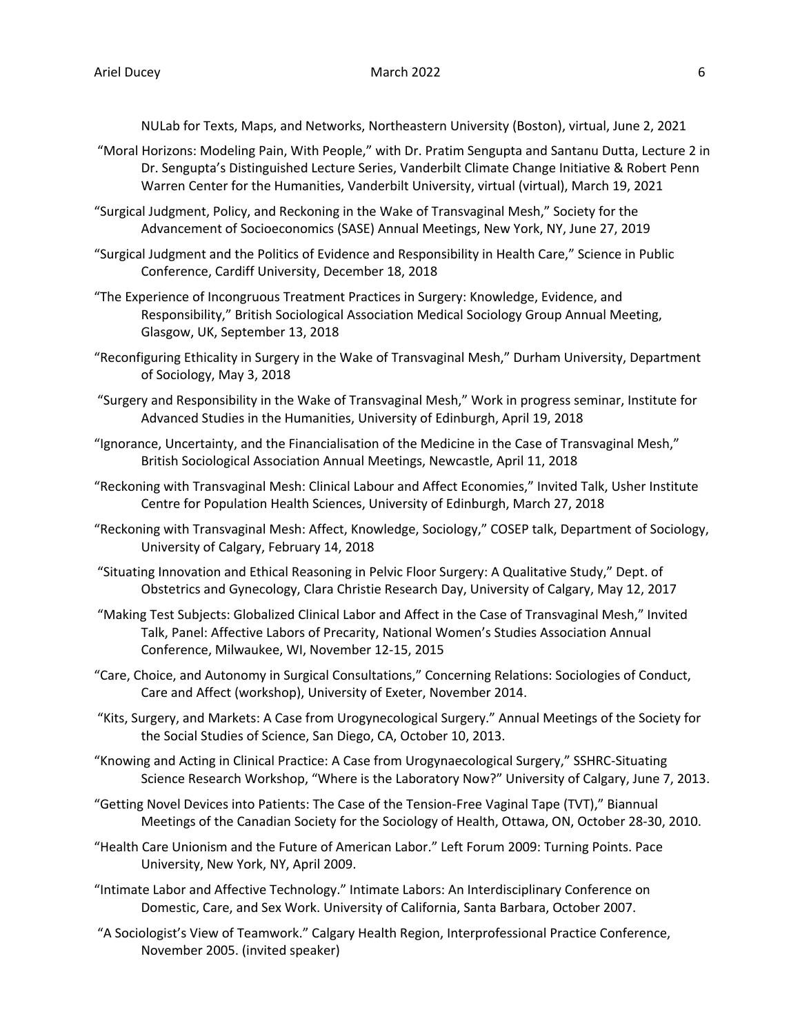#### Ariel Ducey **Exercise 2022 March 2022** 6

NULab for Texts, Maps, and Networks, Northeastern University (Boston), virtual, June 2, 2021

- "Moral Horizons: Modeling Pain, With People," with Dr. Pratim Sengupta and Santanu Dutta, Lecture 2 in Dr. Sengupta's Distinguished Lecture Series, Vanderbilt Climate Change Initiative & Robert Penn Warren Center for the Humanities, Vanderbilt University, virtual (virtual), March 19, 2021
- "Surgical Judgment, Policy, and Reckoning in the Wake of Transvaginal Mesh," Society for the Advancement of Socioeconomics (SASE) Annual Meetings, New York, NY, June 27, 2019
- "Surgical Judgment and the Politics of Evidence and Responsibility in Health Care," Science in Public Conference, Cardiff University, December 18, 2018
- "The Experience of Incongruous Treatment Practices in Surgery: Knowledge, Evidence, and Responsibility," British Sociological Association Medical Sociology Group Annual Meeting, Glasgow, UK, September 13, 2018
- "Reconfiguring Ethicality in Surgery in the Wake of Transvaginal Mesh," Durham University, Department of Sociology, May 3, 2018
- "Surgery and Responsibility in the Wake of Transvaginal Mesh," Work in progress seminar, Institute for Advanced Studies in the Humanities, University of Edinburgh, April 19, 2018
- "Ignorance, Uncertainty, and the Financialisation of the Medicine in the Case of Transvaginal Mesh," British Sociological Association Annual Meetings, Newcastle, April 11, 2018
- "Reckoning with Transvaginal Mesh: Clinical Labour and Affect Economies," Invited Talk, Usher Institute Centre for Population Health Sciences, University of Edinburgh, March 27, 2018
- "Reckoning with Transvaginal Mesh: Affect, Knowledge, Sociology," COSEP talk, Department of Sociology, University of Calgary, February 14, 2018
- "Situating Innovation and Ethical Reasoning in Pelvic Floor Surgery: A Qualitative Study," Dept. of Obstetrics and Gynecology, Clara Christie Research Day, University of Calgary, May 12, 2017
- "Making Test Subjects: Globalized Clinical Labor and Affect in the Case of Transvaginal Mesh," Invited Talk, Panel: Affective Labors of Precarity, National Women's Studies Association Annual Conference, Milwaukee, WI, November 12-15, 2015
- "Care, Choice, and Autonomy in Surgical Consultations," Concerning Relations: Sociologies of Conduct, Care and Affect (workshop), University of Exeter, November 2014.
- "Kits, Surgery, and Markets: A Case from Urogynecological Surgery." Annual Meetings of the Society for the Social Studies of Science, San Diego, CA, October 10, 2013.
- "Knowing and Acting in Clinical Practice: A Case from Urogynaecological Surgery," SSHRC-Situating Science Research Workshop, "Where is the Laboratory Now?" University of Calgary, June 7, 2013.
- "Getting Novel Devices into Patients: The Case of the Tension-Free Vaginal Tape (TVT)," Biannual Meetings of the Canadian Society for the Sociology of Health, Ottawa, ON, October 28-30, 2010.
- "Health Care Unionism and the Future of American Labor." Left Forum 2009: Turning Points. Pace University, New York, NY, April 2009.
- "Intimate Labor and Affective Technology." Intimate Labors: An Interdisciplinary Conference on Domestic, Care, and Sex Work. University of California, Santa Barbara, October 2007.
- "A Sociologist's View of Teamwork." Calgary Health Region, Interprofessional Practice Conference, November 2005. (invited speaker)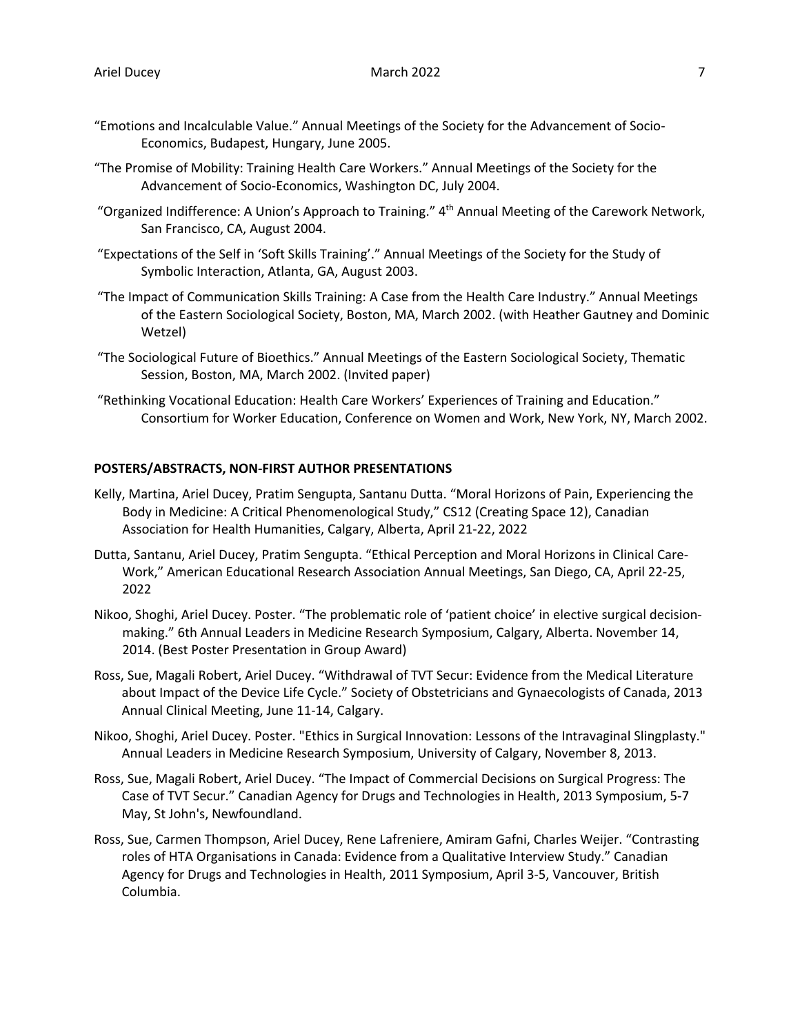- "Emotions and Incalculable Value." Annual Meetings of the Society for the Advancement of Socio-Economics, Budapest, Hungary, June 2005.
- "The Promise of Mobility: Training Health Care Workers." Annual Meetings of the Society for the Advancement of Socio-Economics, Washington DC, July 2004.
- "Organized Indifference: A Union's Approach to Training." 4th Annual Meeting of the Carework Network, San Francisco, CA, August 2004.
- "Expectations of the Self in 'Soft Skills Training'." Annual Meetings of the Society for the Study of Symbolic Interaction, Atlanta, GA, August 2003.
- "The Impact of Communication Skills Training: A Case from the Health Care Industry." Annual Meetings of the Eastern Sociological Society, Boston, MA, March 2002. (with Heather Gautney and Dominic Wetzel)
- "The Sociological Future of Bioethics." Annual Meetings of the Eastern Sociological Society, Thematic Session, Boston, MA, March 2002. (Invited paper)
- "Rethinking Vocational Education: Health Care Workers' Experiences of Training and Education." Consortium for Worker Education, Conference on Women and Work, New York, NY, March 2002.

# **POSTERS/ABSTRACTS, NON-FIRST AUTHOR PRESENTATIONS**

- Kelly, Martina, Ariel Ducey, Pratim Sengupta, Santanu Dutta. "Moral Horizons of Pain, Experiencing the Body in Medicine: A Critical Phenomenological Study," CS12 (Creating Space 12), Canadian Association for Health Humanities, Calgary, Alberta, April 21-22, 2022
- Dutta, Santanu, Ariel Ducey, Pratim Sengupta. "Ethical Perception and Moral Horizons in Clinical Care-Work," American Educational Research Association Annual Meetings, San Diego, CA, April 22-25, 2022
- Nikoo, Shoghi, Ariel Ducey. Poster. "The problematic role of 'patient choice' in elective surgical decisionmaking." 6th Annual Leaders in Medicine Research Symposium, Calgary, Alberta. November 14, 2014. (Best Poster Presentation in Group Award)
- Ross, Sue, Magali Robert, Ariel Ducey. "Withdrawal of TVT Secur: Evidence from the Medical Literature about Impact of the Device Life Cycle." Society of Obstetricians and Gynaecologists of Canada, 2013 Annual Clinical Meeting, June 11-14, Calgary.
- Nikoo, Shoghi, Ariel Ducey. Poster. "Ethics in Surgical Innovation: Lessons of the Intravaginal Slingplasty." Annual Leaders in Medicine Research Symposium, University of Calgary, November 8, 2013.
- Ross, Sue, Magali Robert, Ariel Ducey. "The Impact of Commercial Decisions on Surgical Progress: The Case of TVT Secur." Canadian Agency for Drugs and Technologies in Health, 2013 Symposium, 5-7 May, St John's, Newfoundland.
- Ross, Sue, Carmen Thompson, Ariel Ducey, Rene Lafreniere, Amiram Gafni, Charles Weijer. "Contrasting roles of HTA Organisations in Canada: Evidence from a Qualitative Interview Study." Canadian Agency for Drugs and Technologies in Health, 2011 Symposium, April 3-5, Vancouver, British Columbia.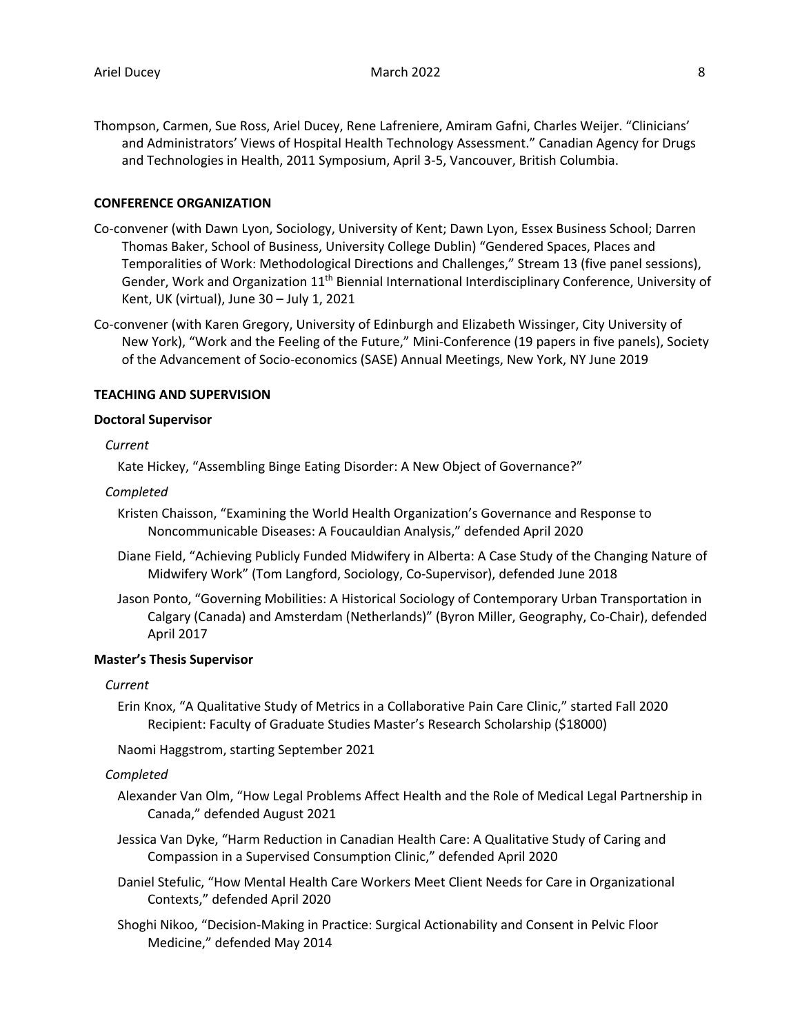Thompson, Carmen, Sue Ross, Ariel Ducey, Rene Lafreniere, Amiram Gafni, Charles Weijer. "Clinicians' and Administrators' Views of Hospital Health Technology Assessment." Canadian Agency for Drugs and Technologies in Health, 2011 Symposium, April 3-5, Vancouver, British Columbia.

#### **CONFERENCE ORGANIZATION**

- Co-convener (with Dawn Lyon, Sociology, University of Kent; Dawn Lyon, Essex Business School; Darren Thomas Baker, School of Business, University College Dublin) "Gendered Spaces, Places and Temporalities of Work: Methodological Directions and Challenges," Stream 13 (five panel sessions), Gender, Work and Organization 11<sup>th</sup> Biennial International Interdisciplinary Conference, University of Kent, UK (virtual), June 30 – July 1, 2021
- Co-convener (with Karen Gregory, University of Edinburgh and Elizabeth Wissinger, City University of New York), "Work and the Feeling of the Future," Mini-Conference (19 papers in five panels), Society of the Advancement of Socio-economics (SASE) Annual Meetings, New York, NY June 2019

# **TEACHING AND SUPERVISION**

#### **Doctoral Supervisor**

#### *Current*

Kate Hickey, "Assembling Binge Eating Disorder: A New Object of Governance?"

#### *Completed*

- Kristen Chaisson, "Examining the World Health Organization's Governance and Response to Noncommunicable Diseases: A Foucauldian Analysis," defended April 2020
- Diane Field, "Achieving Publicly Funded Midwifery in Alberta: A Case Study of the Changing Nature of Midwifery Work" (Tom Langford, Sociology, Co-Supervisor), defended June 2018
- Jason Ponto, "Governing Mobilities: A Historical Sociology of Contemporary Urban Transportation in Calgary (Canada) and Amsterdam (Netherlands)" (Byron Miller, Geography, Co-Chair), defended April 2017

### **Master's Thesis Supervisor**

#### *Current*

Erin Knox, "A Qualitative Study of Metrics in a Collaborative Pain Care Clinic," started Fall 2020 Recipient: Faculty of Graduate Studies Master's Research Scholarship (\$18000)

Naomi Haggstrom, starting September 2021

#### *Completed*

- Alexander Van Olm, "How Legal Problems Affect Health and the Role of Medical Legal Partnership in Canada," defended August 2021
- Jessica Van Dyke, "Harm Reduction in Canadian Health Care: A Qualitative Study of Caring and Compassion in a Supervised Consumption Clinic," defended April 2020
- Daniel Stefulic, "How Mental Health Care Workers Meet Client Needs for Care in Organizational Contexts," defended April 2020
- Shoghi Nikoo, "Decision-Making in Practice: Surgical Actionability and Consent in Pelvic Floor Medicine," defended May 2014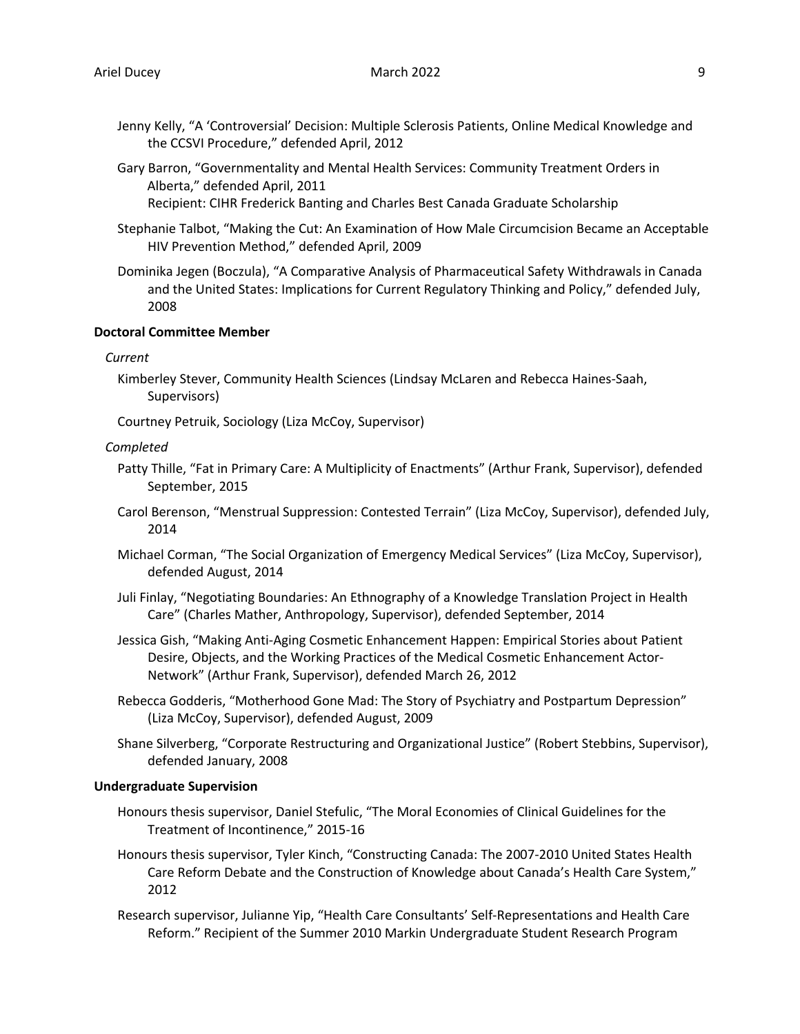- Jenny Kelly, "A 'Controversial' Decision: Multiple Sclerosis Patients, Online Medical Knowledge and the CCSVI Procedure," defended April, 2012
- Gary Barron, "Governmentality and Mental Health Services: Community Treatment Orders in Alberta," defended April, 2011 Recipient: CIHR Frederick Banting and Charles Best Canada Graduate Scholarship
- Stephanie Talbot, "Making the Cut: An Examination of How Male Circumcision Became an Acceptable HIV Prevention Method," defended April, 2009
- Dominika Jegen (Boczula), "A Comparative Analysis of Pharmaceutical Safety Withdrawals in Canada and the United States: Implications for Current Regulatory Thinking and Policy," defended July, 2008

#### **Doctoral Committee Member**

#### *Current*

- Kimberley Stever, Community Health Sciences (Lindsay McLaren and Rebecca Haines-Saah, Supervisors)
- Courtney Petruik, Sociology (Liza McCoy, Supervisor)

#### *Completed*

- Patty Thille, "Fat in Primary Care: A Multiplicity of Enactments" (Arthur Frank, Supervisor), defended September, 2015
- Carol Berenson, "Menstrual Suppression: Contested Terrain" (Liza McCoy, Supervisor), defended July, 2014
- Michael Corman, "The Social Organization of Emergency Medical Services" (Liza McCoy, Supervisor), defended August, 2014
- Juli Finlay, "Negotiating Boundaries: An Ethnography of a Knowledge Translation Project in Health Care" (Charles Mather, Anthropology, Supervisor), defended September, 2014
- Jessica Gish, "Making Anti-Aging Cosmetic Enhancement Happen: Empirical Stories about Patient Desire, Objects, and the Working Practices of the Medical Cosmetic Enhancement Actor-Network" (Arthur Frank, Supervisor), defended March 26, 2012
- Rebecca Godderis, "Motherhood Gone Mad: The Story of Psychiatry and Postpartum Depression" (Liza McCoy, Supervisor), defended August, 2009
- Shane Silverberg, "Corporate Restructuring and Organizational Justice" (Robert Stebbins, Supervisor), defended January, 2008

#### **Undergraduate Supervision**

- Honours thesis supervisor, Daniel Stefulic, "The Moral Economies of Clinical Guidelines for the Treatment of Incontinence," 2015-16
- Honours thesis supervisor, Tyler Kinch, "Constructing Canada: The 2007-2010 United States Health Care Reform Debate and the Construction of Knowledge about Canada's Health Care System," 2012
- Research supervisor, Julianne Yip, "Health Care Consultants' Self-Representations and Health Care Reform." Recipient of the Summer 2010 Markin Undergraduate Student Research Program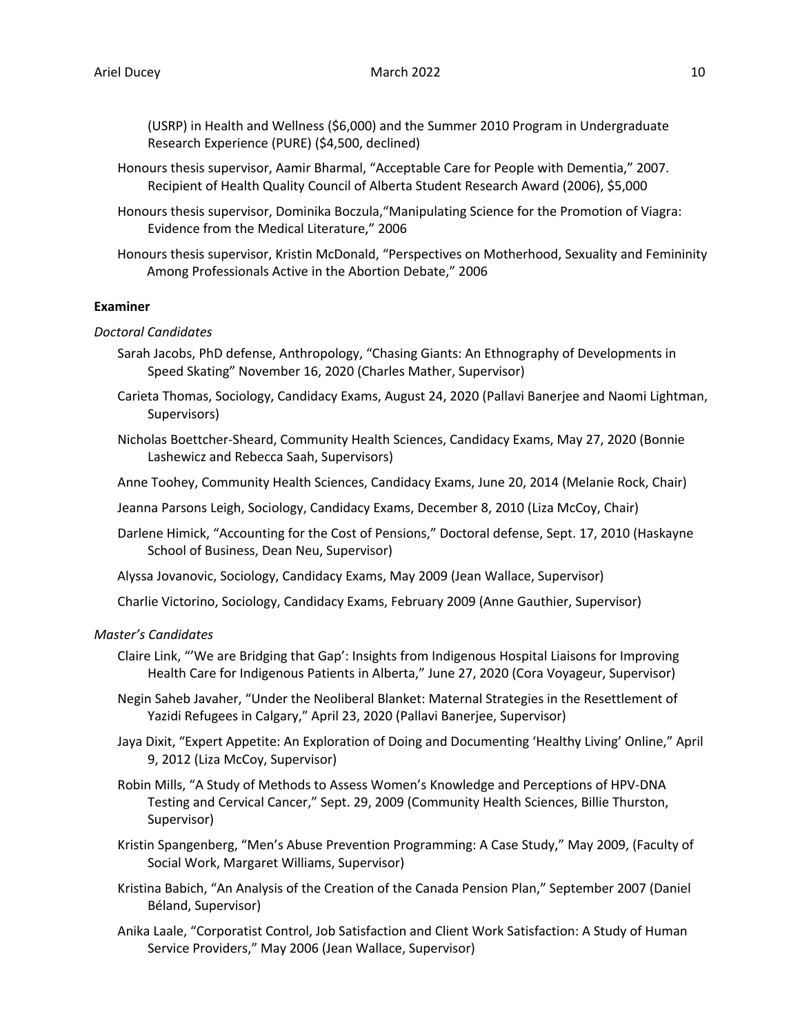(USRP) in Health and Wellness (\$6,000) and the Summer 2010 Program in Undergraduate Research Experience (PURE) (\$4,500, declined)

- Honours thesis supervisor, Aamir Bharmal, "Acceptable Care for People with Dementia," 2007. Recipient of Health Quality Council of Alberta Student Research Award (2006), \$5,000
- Honours thesis supervisor, Dominika Boczula,"Manipulating Science for the Promotion of Viagra: Evidence from the Medical Literature," 2006
- Honours thesis supervisor, Kristin McDonald, "Perspectives on Motherhood, Sexuality and Femininity Among Professionals Active in the Abortion Debate," 2006

#### **Examiner**

#### *Doctoral Candidates*

- Sarah Jacobs, PhD defense, Anthropology, "Chasing Giants: An Ethnography of Developments in Speed Skating" November 16, 2020 (Charles Mather, Supervisor)
- Carieta Thomas, Sociology, Candidacy Exams, August 24, 2020 (Pallavi Banerjee and Naomi Lightman, Supervisors)
- Nicholas Boettcher-Sheard, Community Health Sciences, Candidacy Exams, May 27, 2020 (Bonnie Lashewicz and Rebecca Saah, Supervisors)
- Anne Toohey, Community Health Sciences, Candidacy Exams, June 20, 2014 (Melanie Rock, Chair)
- Jeanna Parsons Leigh, Sociology, Candidacy Exams, December 8, 2010 (Liza McCoy, Chair)
- Darlene Himick, "Accounting for the Cost of Pensions," Doctoral defense, Sept. 17, 2010 (Haskayne School of Business, Dean Neu, Supervisor)
- Alyssa Jovanovic, Sociology, Candidacy Exams, May 2009 (Jean Wallace, Supervisor)
- Charlie Victorino, Sociology, Candidacy Exams, February 2009 (Anne Gauthier, Supervisor)

# *Master's Candidates*

- Claire Link, "'We are Bridging that Gap': Insights from Indigenous Hospital Liaisons for Improving Health Care for Indigenous Patients in Alberta," June 27, 2020 (Cora Voyageur, Supervisor)
- Negin Saheb Javaher, "Under the Neoliberal Blanket: Maternal Strategies in the Resettlement of Yazidi Refugees in Calgary," April 23, 2020 (Pallavi Banerjee, Supervisor)
- Jaya Dixit, "Expert Appetite: An Exploration of Doing and Documenting 'Healthy Living' Online," April 9, 2012 (Liza McCoy, Supervisor)
- Robin Mills, "A Study of Methods to Assess Women's Knowledge and Perceptions of HPV-DNA Testing and Cervical Cancer," Sept. 29, 2009 (Community Health Sciences, Billie Thurston, Supervisor)
- Kristin Spangenberg, "Men's Abuse Prevention Programming: A Case Study," May 2009, (Faculty of Social Work, Margaret Williams, Supervisor)
- Kristina Babich, "An Analysis of the Creation of the Canada Pension Plan," September 2007 (Daniel Béland, Supervisor)
- Anika Laale, "Corporatist Control, Job Satisfaction and Client Work Satisfaction: A Study of Human Service Providers," May 2006 (Jean Wallace, Supervisor)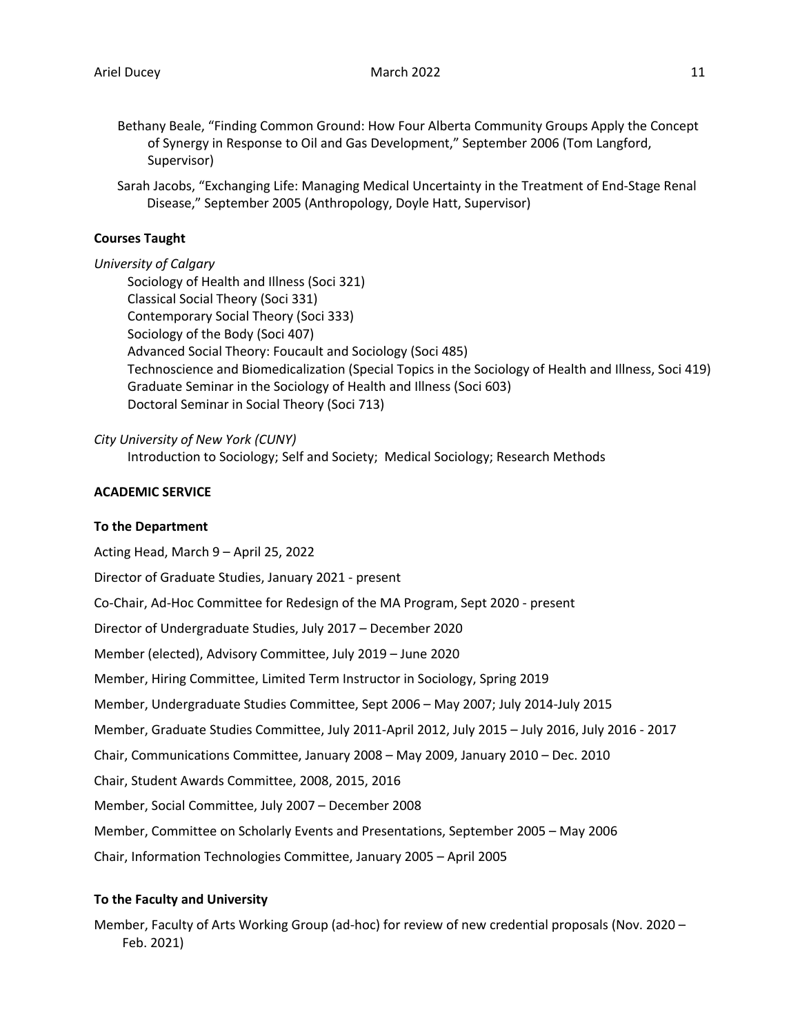- Bethany Beale, "Finding Common Ground: How Four Alberta Community Groups Apply the Concept of Synergy in Response to Oil and Gas Development," September 2006 (Tom Langford, Supervisor)
- Sarah Jacobs, "Exchanging Life: Managing Medical Uncertainty in the Treatment of End-Stage Renal Disease," September 2005 (Anthropology, Doyle Hatt, Supervisor)

# **Courses Taught**

#### *University of Calgary*

Sociology of Health and Illness (Soci 321) Classical Social Theory (Soci 331) Contemporary Social Theory (Soci 333) Sociology of the Body (Soci 407) Advanced Social Theory: Foucault and Sociology (Soci 485) Technoscience and Biomedicalization (Special Topics in the Sociology of Health and Illness, Soci 419) Graduate Seminar in the Sociology of Health and Illness (Soci 603) Doctoral Seminar in Social Theory (Soci 713)

*City University of New York (CUNY)*

Introduction to Sociology; Self and Society; Medical Sociology; Research Methods

# **ACADEMIC SERVICE**

# **To the Department**

Acting Head, March 9 – April 25, 2022 Director of Graduate Studies, January 2021 - present Co-Chair, Ad-Hoc Committee for Redesign of the MA Program, Sept 2020 - present Director of Undergraduate Studies, July 2017 – December 2020 Member (elected), Advisory Committee, July 2019 – June 2020 Member, Hiring Committee, Limited Term Instructor in Sociology, Spring 2019 Member, Undergraduate Studies Committee, Sept 2006 – May 2007; July 2014-July 2015 Member, Graduate Studies Committee, July 2011-April 2012, July 2015 – July 2016, July 2016 - 2017 Chair, Communications Committee, January 2008 – May 2009, January 2010 – Dec. 2010 Chair, Student Awards Committee, 2008, 2015, 2016 Member, Social Committee, July 2007 – December 2008 Member, Committee on Scholarly Events and Presentations, September 2005 – May 2006 Chair, Information Technologies Committee, January 2005 – April 2005

# **To the Faculty and University**

Member, Faculty of Arts Working Group (ad-hoc) for review of new credential proposals (Nov. 2020 – Feb. 2021)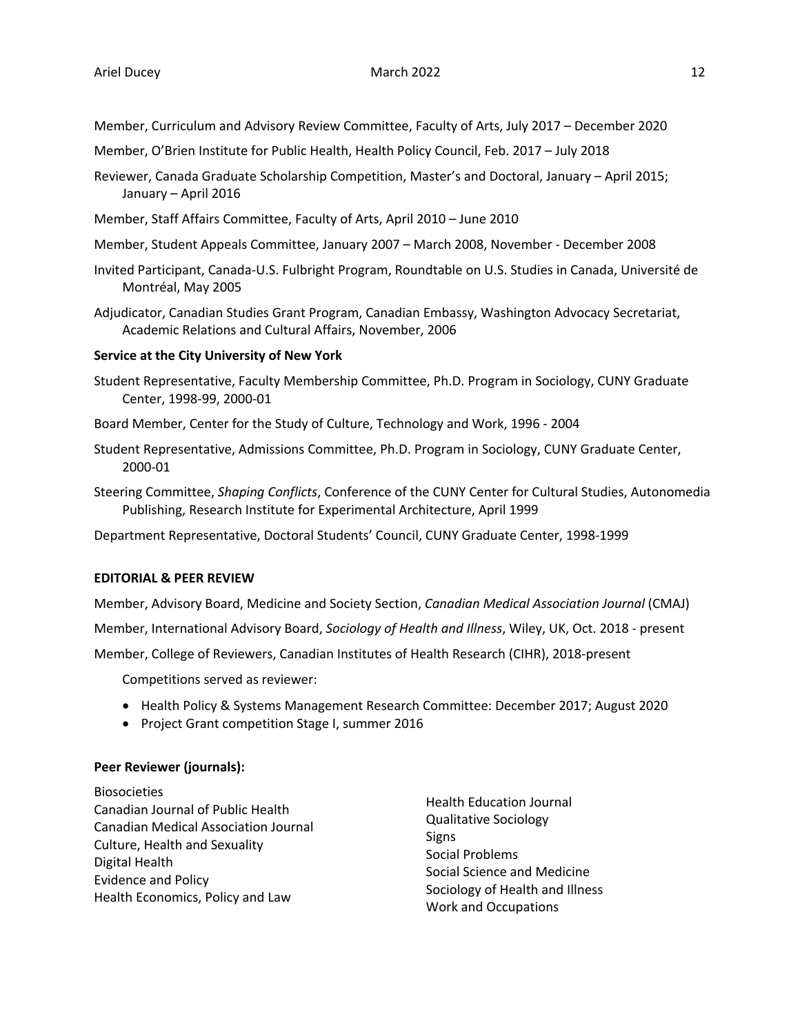Member, Curriculum and Advisory Review Committee, Faculty of Arts, July 2017 – December 2020

- Member, O'Brien Institute for Public Health, Health Policy Council, Feb. 2017 July 2018
- Reviewer, Canada Graduate Scholarship Competition, Master's and Doctoral, January April 2015; January – April 2016
- Member, Staff Affairs Committee, Faculty of Arts, April 2010 June 2010
- Member, Student Appeals Committee, January 2007 March 2008, November December 2008
- Invited Participant, Canada-U.S. Fulbright Program, Roundtable on U.S. Studies in Canada, Université de Montréal, May 2005
- Adjudicator, Canadian Studies Grant Program, Canadian Embassy, Washington Advocacy Secretariat, Academic Relations and Cultural Affairs, November, 2006

# **Service at the City University of New York**

- Student Representative, Faculty Membership Committee, Ph.D. Program in Sociology, CUNY Graduate Center, 1998-99, 2000-01
- Board Member, Center for the Study of Culture, Technology and Work, 1996 2004
- Student Representative, Admissions Committee, Ph.D. Program in Sociology, CUNY Graduate Center, 2000-01
- Steering Committee, *Shaping Conflicts*, Conference of the CUNY Center for Cultural Studies, Autonomedia Publishing, Research Institute for Experimental Architecture, April 1999

Department Representative, Doctoral Students' Council, CUNY Graduate Center, 1998-1999

# **EDITORIAL & PEER REVIEW**

Member, Advisory Board, Medicine and Society Section, *Canadian Medical Association Journal* (CMAJ)

Member, International Advisory Board, *Sociology of Health and Illness*, Wiley, UK, Oct. 2018 - present

Member, College of Reviewers, Canadian Institutes of Health Research (CIHR), 2018-present

Competitions served as reviewer:

- Health Policy & Systems Management Research Committee: December 2017; August 2020
- Project Grant competition Stage I, summer 2016

# **Peer Reviewer (journals):**

Biosocieties Canadian Journal of Public Health Canadian Medical Association Journal Culture, Health and Sexuality Digital Health Evidence and Policy Health Economics, Policy and Law

Health Education Journal Qualitative Sociology Signs Social Problems Social Science and Medicine Sociology of Health and Illness Work and Occupations